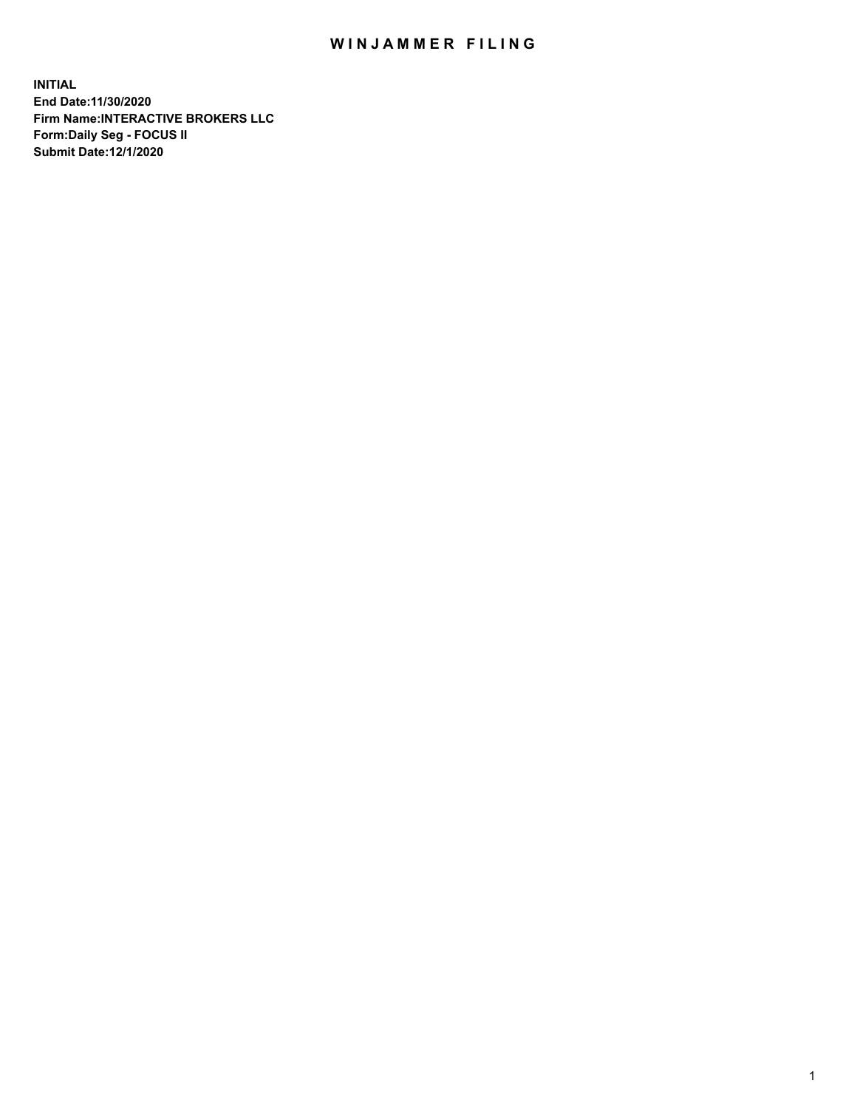## WIN JAMMER FILING

**INITIAL End Date:11/30/2020 Firm Name:INTERACTIVE BROKERS LLC Form:Daily Seg - FOCUS II Submit Date:12/1/2020**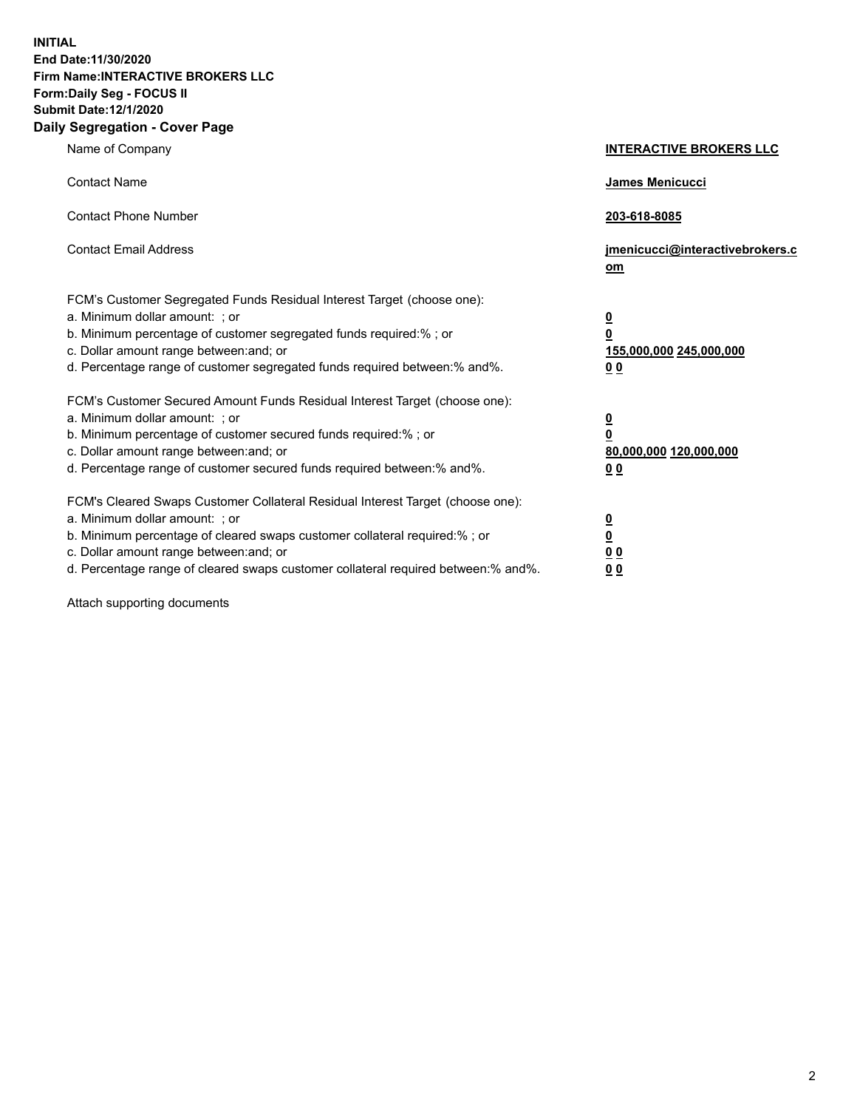**INITIAL End Date:11/30/2020 Firm Name:INTERACTIVE BROKERS LLC Form:Daily Seg - FOCUS II Submit Date:12/1/2020 Daily Segregation - Cover Page**

| Name of Company                                                                                                                                                                                                                                                                                                                | <b>INTERACTIVE BROKERS LLC</b>                                                                  |
|--------------------------------------------------------------------------------------------------------------------------------------------------------------------------------------------------------------------------------------------------------------------------------------------------------------------------------|-------------------------------------------------------------------------------------------------|
| <b>Contact Name</b>                                                                                                                                                                                                                                                                                                            | <b>James Menicucci</b>                                                                          |
| <b>Contact Phone Number</b>                                                                                                                                                                                                                                                                                                    | 203-618-8085                                                                                    |
| <b>Contact Email Address</b>                                                                                                                                                                                                                                                                                                   | jmenicucci@interactivebrokers.c<br>om                                                           |
| FCM's Customer Segregated Funds Residual Interest Target (choose one):<br>a. Minimum dollar amount: ; or<br>b. Minimum percentage of customer segregated funds required:% ; or<br>c. Dollar amount range between: and; or<br>d. Percentage range of customer segregated funds required between: % and %.                       | $\overline{\mathbf{0}}$<br>$\overline{\mathbf{0}}$<br>155,000,000 245,000,000<br>0 <sub>0</sub> |
| FCM's Customer Secured Amount Funds Residual Interest Target (choose one):<br>a. Minimum dollar amount: ; or<br>b. Minimum percentage of customer secured funds required:%; or<br>c. Dollar amount range between: and; or<br>d. Percentage range of customer secured funds required between:% and%.                            | <u>0</u><br>$\overline{\mathbf{0}}$<br>80,000,000 120,000,000<br>00                             |
| FCM's Cleared Swaps Customer Collateral Residual Interest Target (choose one):<br>a. Minimum dollar amount: ; or<br>b. Minimum percentage of cleared swaps customer collateral required:% ; or<br>c. Dollar amount range between: and; or<br>d. Percentage range of cleared swaps customer collateral required between:% and%. | $\overline{\mathbf{0}}$<br>$\underline{\mathbf{0}}$<br>0 <sub>0</sub><br>0 <sub>0</sub>         |

Attach supporting documents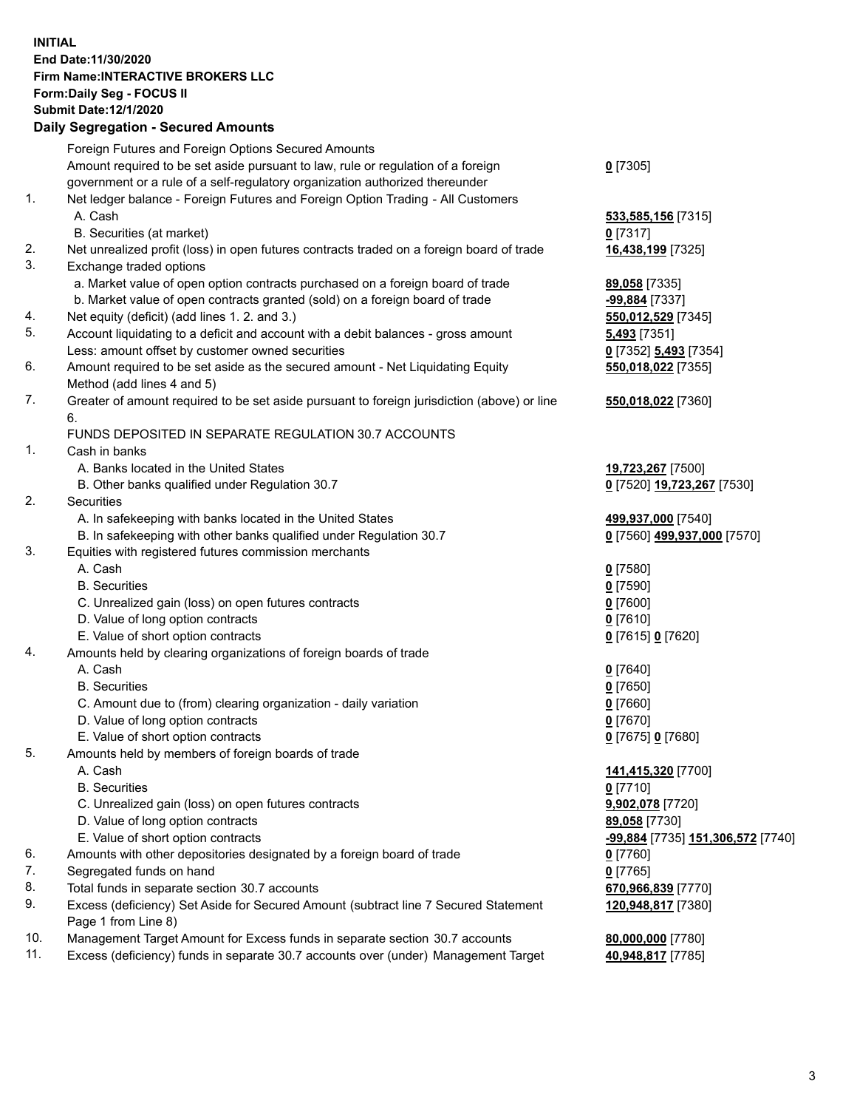## **INITIAL End Date:11/30/2020 Firm Name:INTERACTIVE BROKERS LLC Form:Daily Seg - FOCUS II Submit Date:12/1/2020 Daily Segregation - Secured Amounts**

|     | Daily Segregation - Secured Amounts                                                                        |                                   |
|-----|------------------------------------------------------------------------------------------------------------|-----------------------------------|
|     | Foreign Futures and Foreign Options Secured Amounts                                                        |                                   |
|     | Amount required to be set aside pursuant to law, rule or regulation of a foreign                           | $0$ [7305]                        |
|     | government or a rule of a self-regulatory organization authorized thereunder                               |                                   |
| 1.  | Net ledger balance - Foreign Futures and Foreign Option Trading - All Customers                            |                                   |
|     | A. Cash                                                                                                    | 533,585,156 [7315]                |
|     | B. Securities (at market)                                                                                  | $0$ [7317]                        |
| 2.  | Net unrealized profit (loss) in open futures contracts traded on a foreign board of trade                  | 16,438,199 [7325]                 |
| 3.  | Exchange traded options                                                                                    |                                   |
|     | a. Market value of open option contracts purchased on a foreign board of trade                             | 89,058 [7335]                     |
|     | b. Market value of open contracts granted (sold) on a foreign board of trade                               | -99,884 [7337]                    |
| 4.  | Net equity (deficit) (add lines 1. 2. and 3.)                                                              | 550,012,529 [7345]                |
| 5.  | Account liquidating to a deficit and account with a debit balances - gross amount                          | 5,493 [7351]                      |
|     | Less: amount offset by customer owned securities                                                           | 0 [7352] 5,493 [7354]             |
| 6.  | Amount required to be set aside as the secured amount - Net Liquidating Equity                             | 550,018,022 [7355]                |
|     | Method (add lines 4 and 5)                                                                                 |                                   |
| 7.  | Greater of amount required to be set aside pursuant to foreign jurisdiction (above) or line                | 550,018,022 [7360]                |
|     | 6.                                                                                                         |                                   |
|     | FUNDS DEPOSITED IN SEPARATE REGULATION 30.7 ACCOUNTS                                                       |                                   |
| 1.  | Cash in banks                                                                                              |                                   |
|     | A. Banks located in the United States                                                                      | 19,723,267 [7500]                 |
|     | B. Other banks qualified under Regulation 30.7                                                             | 0 [7520] 19,723,267 [7530]        |
| 2.  | Securities                                                                                                 |                                   |
|     | A. In safekeeping with banks located in the United States                                                  | 499,937,000 [7540]                |
|     | B. In safekeeping with other banks qualified under Regulation 30.7                                         | 0 [7560] 499,937,000 [7570]       |
| 3.  | Equities with registered futures commission merchants                                                      |                                   |
|     | A. Cash                                                                                                    | $0$ [7580]                        |
|     | <b>B.</b> Securities                                                                                       | $0$ [7590]                        |
|     | C. Unrealized gain (loss) on open futures contracts                                                        | $0$ [7600]                        |
|     | D. Value of long option contracts                                                                          | $0$ [7610]                        |
|     | E. Value of short option contracts                                                                         | 0 [7615] 0 [7620]                 |
| 4.  | Amounts held by clearing organizations of foreign boards of trade                                          |                                   |
|     | A. Cash                                                                                                    | $0$ [7640]                        |
|     | <b>B.</b> Securities                                                                                       | $0$ [7650]                        |
|     | C. Amount due to (from) clearing organization - daily variation                                            | $0$ [7660]                        |
|     | D. Value of long option contracts                                                                          | $0$ [7670]                        |
|     | E. Value of short option contracts                                                                         | 0 [7675] 0 [7680]                 |
| 5.  | Amounts held by members of foreign boards of trade                                                         |                                   |
|     | A. Cash                                                                                                    | 141,415,320 [7700]                |
|     | <b>B.</b> Securities                                                                                       | $0$ [7710]                        |
|     | C. Unrealized gain (loss) on open futures contracts                                                        | 9,902,078 [7720]                  |
|     | D. Value of long option contracts                                                                          | 89,058 [7730]                     |
|     | E. Value of short option contracts                                                                         | -99,884 [7735] 151,306,572 [7740] |
| 6.  | Amounts with other depositories designated by a foreign board of trade                                     | 0 [7760]                          |
| 7.  | Segregated funds on hand                                                                                   | $0$ [7765]                        |
| 8.  | Total funds in separate section 30.7 accounts                                                              | 670,966,839 [7770]                |
| 9.  | Excess (deficiency) Set Aside for Secured Amount (subtract line 7 Secured Statement<br>Page 1 from Line 8) | 120,948,817 [7380]                |
| 10. | Management Target Amount for Excess funds in separate section 30.7 accounts                                | 80,000,000 [7780]                 |
| 11. | Excess (deficiency) funds in separate 30.7 accounts over (under) Management Target                         | 40,948,817 [7785]                 |
|     |                                                                                                            |                                   |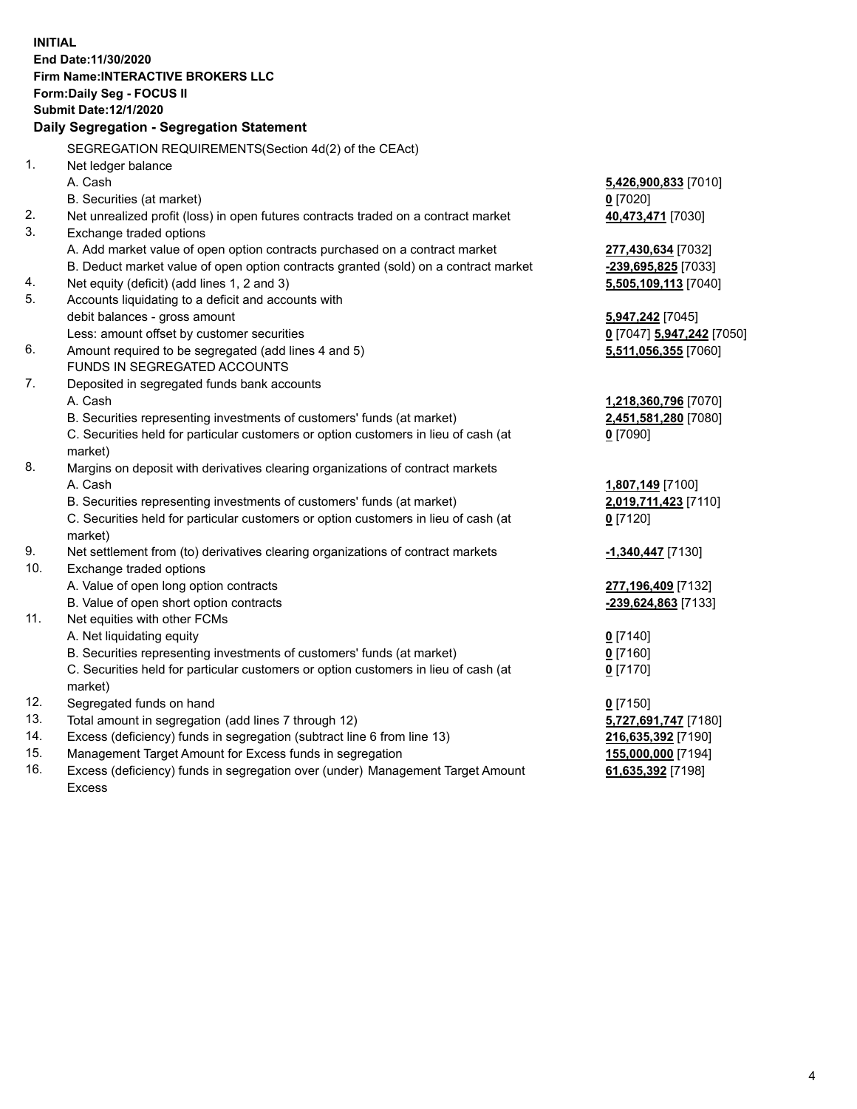**INITIAL End Date:11/30/2020 Firm Name:INTERACTIVE BROKERS LLC Form:Daily Seg - FOCUS II Submit Date:12/1/2020 Daily Segregation - Segregation Statement** SEGREGATION REQUIREMENTS(Section 4d(2) of the CEAct) 1. Net ledger balance A. Cash **5,426,900,833** [7010] B. Securities (at market) **0** [7020] 2. Net unrealized profit (loss) in open futures contracts traded on a contract market **40,473,471** [7030] 3. Exchange traded options A. Add market value of open option contracts purchased on a contract market **277,430,634** [7032] B. Deduct market value of open option contracts granted (sold) on a contract market **-239,695,825** [7033] 4. Net equity (deficit) (add lines 1, 2 and 3) **5,505,109,113** [7040] 5. Accounts liquidating to a deficit and accounts with debit balances - gross amount **5,947,242** [7045] Less: amount offset by customer securities **0** [7047] **5,947,242** [7050] 6. Amount required to be segregated (add lines 4 and 5) **5,511,056,355** [7060] FUNDS IN SEGREGATED ACCOUNTS 7. Deposited in segregated funds bank accounts A. Cash **1,218,360,796** [7070] B. Securities representing investments of customers' funds (at market) **2,451,581,280** [7080] C. Securities held for particular customers or option customers in lieu of cash (at market) **0** [7090] 8. Margins on deposit with derivatives clearing organizations of contract markets A. Cash **1,807,149** [7100] B. Securities representing investments of customers' funds (at market) **2,019,711,423** [7110] C. Securities held for particular customers or option customers in lieu of cash (at market) **0** [7120] 9. Net settlement from (to) derivatives clearing organizations of contract markets **-1,340,447** [7130] 10. Exchange traded options A. Value of open long option contracts **277,196,409** [7132] B. Value of open short option contracts **-239,624,863** [7133] 11. Net equities with other FCMs A. Net liquidating equity **0** [7140] B. Securities representing investments of customers' funds (at market) **0** [7160] C. Securities held for particular customers or option customers in lieu of cash (at market) **0** [7170] 12. Segregated funds on hand **0** [7150] 13. Total amount in segregation (add lines 7 through 12) **5,727,691,747** [7180] 14. Excess (deficiency) funds in segregation (subtract line 6 from line 13) **216,635,392** [7190] 15. Management Target Amount for Excess funds in segregation **155,000,000** [7194] 16. Excess (deficiency) funds in segregation over (under) Management Target Amount **61,635,392** [7198]

Excess